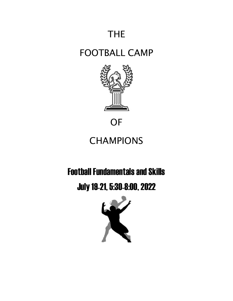# THE

### FOOTBALL CAMP



**OF** 

# **CHAMPIONS**

### Football Fundamentals and Skills

July 19-21, 5:30-8:00, 2022